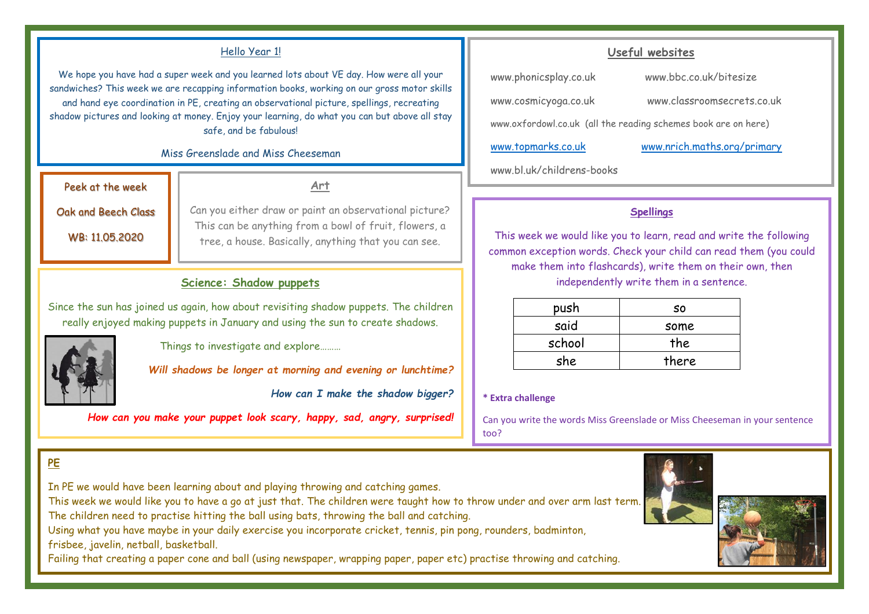#### Hello Year 1!

We hope you have had a super week and you learned lots about VE day. How were all your sandwiches? This week we are recapping information books, working on our gross motor skills and hand eye coordination in PE, creating an observational picture, spellings, recreating shadow pictures and looking at money. Enjoy your learning, do what you can but above all stay safe, and be fabulous!

#### Miss Greenslade and Miss Cheeseman

Peek at the week

**Art**

Oak and Beech Class

WB: 11.05.2020

Can you either draw or paint an observational picture? This can be anything from a bowl of fruit, flowers, a tree, a house. Basically, anything that you can see.

### **Science: Shadow puppets**

Since the sun has joined us again, how about revisiting shadow puppets. The children really enjoyed making puppets in January and using the sun to create shadows.



**PE**

Things to investigate and explore………

*Will shadows be longer at morning and evening or lunchtime?*

*How can I make the shadow bigger?*

*How can you make your puppet look scary, happy, sad, angry, surprised!*

## **Useful websites**

[www.phonicsplay.co.uk](http://www.phonicsplay.co.uk/) www.bbc.co.uk/bitesize

[www.cosmicyoga.co.uk](http://www.cosmicyoga.co.uk/) www.classroomsecrets.co.uk

[www.oxfordowl.co.uk](http://www.oxfordowl.co.uk/) (all the reading schemes book are on here)

[www.topmarks.co.uk](http://www.topmarks.co.uk/) [www.nrich.maths.org/primary](http://www.nrich.maths.org/primary) 

www.bl.uk/childrens-books

#### **Spellings**

This week we would like you to learn, read and write the following common exception words. Check your child can read them (you could make them into flashcards), write them on their own, then independently write them in a sentence.

| push   | S٥    |
|--------|-------|
| said   | some  |
| school | the   |
| she    | there |

#### **\* Extra challenge**

Can you write the words Miss Greenslade or Miss Cheeseman in your sentence too?





In PE we would have been learning about and playing throwing and catching games.

This week we would like you to have a go at just that. The children were taught how to throw under and over arm last term. The children need to practise hitting the ball using bats, throwing the ball and catching.

Using what you have maybe in your daily exercise you incorporate cricket, tennis, pin pong, rounders, badminton, frisbee, javelin, netball, basketball.

Failing that creating a paper cone and ball (using newspaper, wrapping paper, paper etc) practise throwing and catching.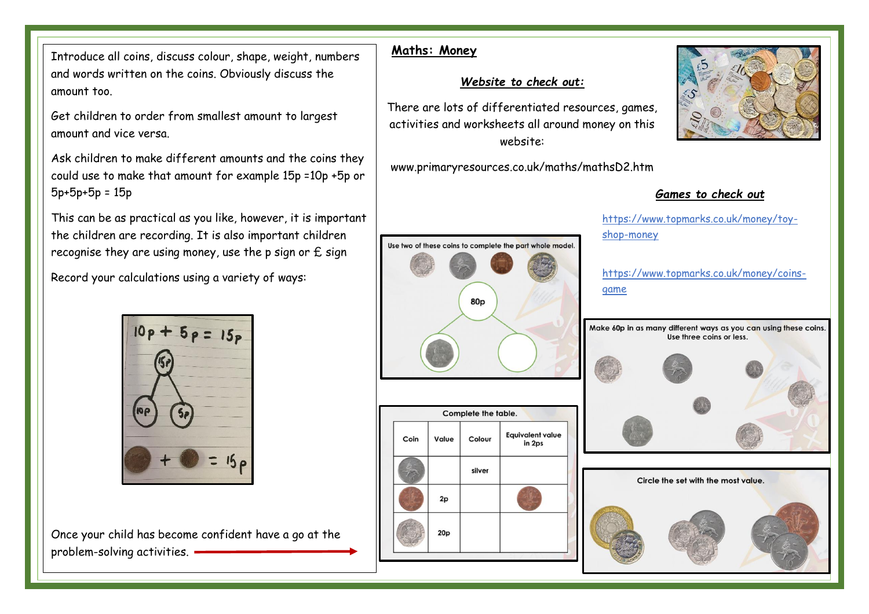Introduce all coins, discuss colour, shape, weight, numbers and words written on the coins. Obviously discuss the amount too.

Get children to order from smallest amount to largest amount and vice versa.

Ask children to make different amounts and the coins they could use to make that amount for example 15p =10p +5p or 5p+5p+5p = 15p

This can be as practical as you like, however, it is important the children are recording. It is also important children recognise they are using money, use the p sign or  $E$  sign

Record your calculations using a variety of ways:



Once your child has become confident have a go at the problem-solving activities.

# **Maths: Money**

# *Website to check out:*

There are lots of differentiated resources, games, activities and worksheets all around money on this website:

www.primaryresources.co.uk/maths/mathsD2.htm